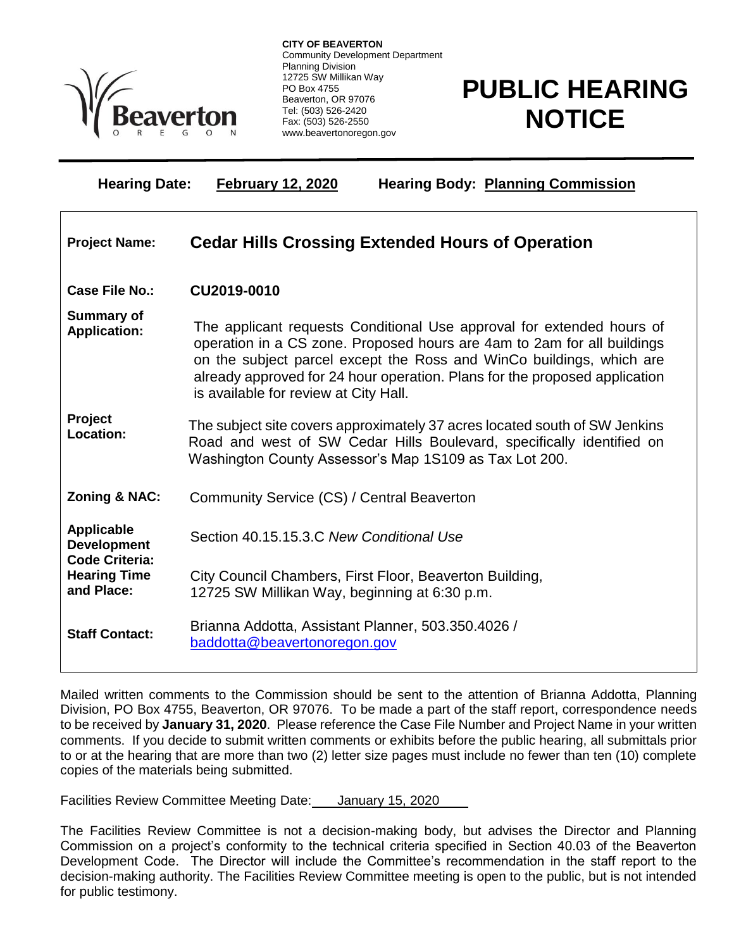

Ξ

**CITY OF BEAVERTON** Community Development Department Planning Division 12725 SW Millikan Way PO Box 4755 Beaverton, OR 97076 Tel: (503) 526-2420 Fax: (503) 526-2550 www.beavertonoregon.gov

## **PUBLIC HEARING NOTICE**

**Hearing Date: February 12, 2020 Hearing Body: Planning Commission**

| <b>Project Name:</b>                                                                                  | <b>Cedar Hills Crossing Extended Hours of Operation</b>                                                                                                                                                                                                                                                                                         |
|-------------------------------------------------------------------------------------------------------|-------------------------------------------------------------------------------------------------------------------------------------------------------------------------------------------------------------------------------------------------------------------------------------------------------------------------------------------------|
| Case File No.:                                                                                        | CU2019-0010                                                                                                                                                                                                                                                                                                                                     |
| <b>Summary of</b><br><b>Application:</b>                                                              | The applicant requests Conditional Use approval for extended hours of<br>operation in a CS zone. Proposed hours are 4am to 2am for all buildings<br>on the subject parcel except the Ross and WinCo buildings, which are<br>already approved for 24 hour operation. Plans for the proposed application<br>is available for review at City Hall. |
| <b>Project</b><br>Location:                                                                           | The subject site covers approximately 37 acres located south of SW Jenkins<br>Road and west of SW Cedar Hills Boulevard, specifically identified on<br>Washington County Assessor's Map 1S109 as Tax Lot 200.                                                                                                                                   |
| <b>Zoning &amp; NAC:</b>                                                                              | Community Service (CS) / Central Beaverton                                                                                                                                                                                                                                                                                                      |
| <b>Applicable</b><br><b>Development</b><br><b>Code Criteria:</b><br><b>Hearing Time</b><br>and Place: | Section 40.15.15.3.C New Conditional Use                                                                                                                                                                                                                                                                                                        |
|                                                                                                       | City Council Chambers, First Floor, Beaverton Building,<br>12725 SW Millikan Way, beginning at 6:30 p.m.                                                                                                                                                                                                                                        |
| <b>Staff Contact:</b>                                                                                 | Brianna Addotta, Assistant Planner, 503.350.4026 /<br>baddotta@beavertonoregon.gov                                                                                                                                                                                                                                                              |

Mailed written comments to the Commission should be sent to the attention of Brianna Addotta, Planning Division, PO Box 4755, Beaverton, OR 97076. To be made a part of the staff report, correspondence needs to be received by **January 31, 2020**. Please reference the Case File Number and Project Name in your written comments. If you decide to submit written comments or exhibits before the public hearing, all submittals prior to or at the hearing that are more than two (2) letter size pages must include no fewer than ten (10) complete copies of the materials being submitted.

Facilities Review Committee Meeting Date: January 15, 2020

The Facilities Review Committee is not a decision-making body, but advises the Director and Planning Commission on a project's conformity to the technical criteria specified in Section 40.03 of the Beaverton Development Code. The Director will include the Committee's recommendation in the staff report to the decision-making authority. The Facilities Review Committee meeting is open to the public, but is not intended for public testimony.